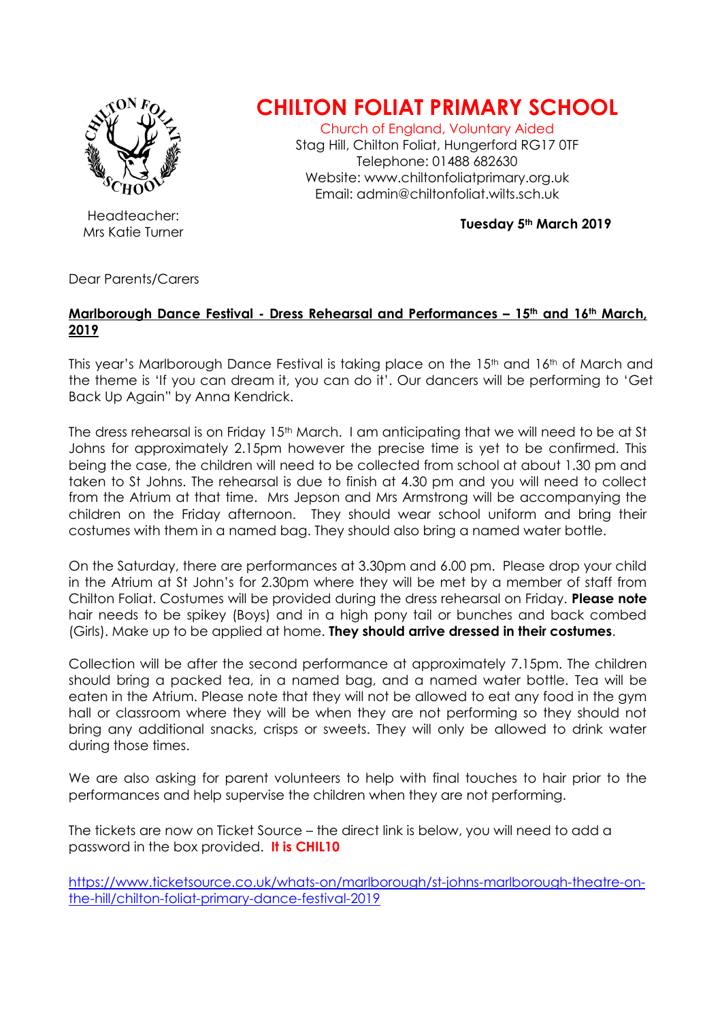

Headteacher:

## **CHILTON FOLIAT PRIMARY SCHOOL**

Church of England, Voluntary Aided

Stag Hill, Chilton Foliat, Hungerford RG17 0TF Telephone: 01488 682630 Website: www.chiltonfoliatprimary.org.uk Email: admin@chiltonfoliat.wilts.sch.uk

Mrs Katie Turner **Tuesday 5th March 2019**

Dear Parents/Carers

## **Marlborough Dance Festival - Dress Rehearsal and Performances – 15th and 16th March, 2019**

This year's Marlborough Dance Festival is taking place on the 15<sup>th</sup> and 16<sup>th</sup> of March and the theme is 'If you can dream it, you can do it'. Our dancers will be performing to 'Get Back Up Again" by Anna Kendrick.

The dress rehearsal is on Friday 15th March. I am anticipating that we will need to be at St Johns for approximately 2.15pm however the precise time is yet to be confirmed. This being the case, the children will need to be collected from school at about 1.30 pm and taken to St Johns. The rehearsal is due to finish at 4.30 pm and you will need to collect from the Atrium at that time. Mrs Jepson and Mrs Armstrong will be accompanying the children on the Friday afternoon. They should wear school uniform and bring their costumes with them in a named bag. They should also bring a named water bottle.

On the Saturday, there are performances at 3.30pm and 6.00 pm. Please drop your child in the Atrium at St John's for 2.30pm where they will be met by a member of staff from Chilton Foliat. Costumes will be provided during the dress rehearsal on Friday. **Please note** hair needs to be spikey (Boys) and in a high pony tail or bunches and back combed (Girls). Make up to be applied at home. **They should arrive dressed in their costumes**.

Collection will be after the second performance at approximately 7.15pm. The children should bring a packed tea, in a named bag, and a named water bottle. Tea will be eaten in the Atrium. Please note that they will not be allowed to eat any food in the gym hall or classroom where they will be when they are not performing so they should not bring any additional snacks, crisps or sweets. They will only be allowed to drink water during those times.

We are also asking for parent volunteers to help with final touches to hair prior to the performances and help supervise the children when they are not performing.

The tickets are now on Ticket Source – the direct link is below, you will need to add a password in the box provided. **It is CHIL10** 

[https://www.ticketsource.co.uk/whats-on/marlborough/st-johns-marlborough-theatre-on](https://www.ticketsource.co.uk/whats-on/marlborough/st-johns-marlborough-theatre-on-the-hill/chilton-foliat-primary-dance-festival-2019)[the-hill/chilton-foliat-primary-dance-festival-2019](https://www.ticketsource.co.uk/whats-on/marlborough/st-johns-marlborough-theatre-on-the-hill/chilton-foliat-primary-dance-festival-2019)